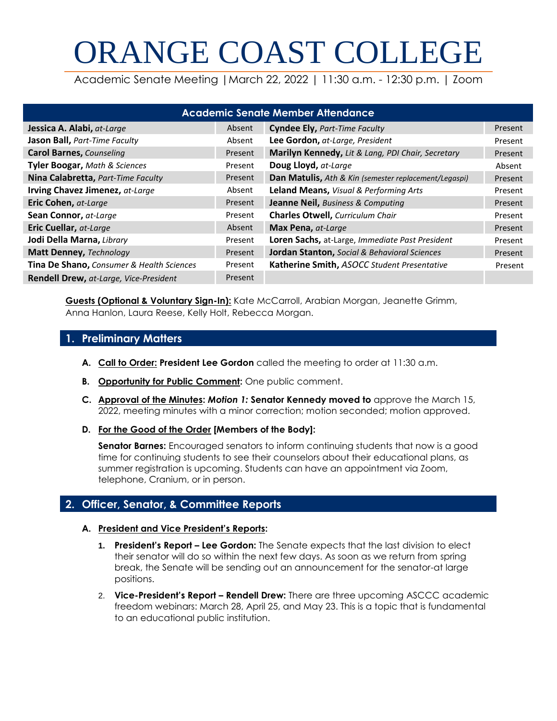# ORANGE COAST COLLEGE

Academic Senate Meeting |March 22, 2022 | 11:30 a.m. - 12:30 p.m. | Zoom

| <b>Academic Senate Member Attendance</b>  |         |                                                         |         |  |  |
|-------------------------------------------|---------|---------------------------------------------------------|---------|--|--|
| Jessica A. Alabi, at-Large                | Absent  | <b>Cyndee Ely, Part-Time Faculty</b>                    | Present |  |  |
| Jason Ball, Part-Time Faculty             | Absent  | Lee Gordon, at-Large, President                         | Present |  |  |
| <b>Carol Barnes, Counseling</b>           | Present | Marilyn Kennedy, Lit & Lang, PDI Chair, Secretary       | Present |  |  |
| Tyler Boogar, Math & Sciences             | Present | Doug Lloyd, at-Large                                    | Absent  |  |  |
| Nina Calabretta, Part-Time Faculty        | Present | Dan Matulis, Ath & Kin (semester replacement/Legaspi)   | Present |  |  |
| Irving Chavez Jimenez, at-Large           | Absent  | Leland Means, Visual & Performing Arts                  | Present |  |  |
| Eric Cohen, at-Large                      | Present | <b>Jeanne Neil, Business &amp; Computing</b>            | Present |  |  |
| Sean Connor, at-Large                     | Present | <b>Charles Otwell, Curriculum Chair</b>                 | Present |  |  |
| Eric Cuellar, at-Large                    | Absent  | Max Pena, at-Large                                      | Present |  |  |
| Jodi Della Marna, Library                 | Present | Loren Sachs, at-Large, Immediate Past President         | Present |  |  |
| Matt Denney, Technology                   | Present | <b>Jordan Stanton, Social &amp; Behavioral Sciences</b> | Present |  |  |
| Tina De Shano, Consumer & Health Sciences | Present | Katherine Smith, ASOCC Student Presentative             | Present |  |  |
| Rendell Drew, at-Large, Vice-President    | Present |                                                         |         |  |  |

**Guests (Optional & Voluntary Sign-In):** Kate McCarroll, Arabian Morgan, Jeanette Grimm, Anna Hanlon, Laura Reese, Kelly Holt, Rebecca Morgan.

# **1. Preliminary Matters**

- **A. Call to Order: President Lee Gordon** called the meeting to order at 11:30 a.m.
- **B. Opportunity for Public Comment:** One public comment.
- **C. Approval of the Minutes:** *Motion 1:* **Senator Kennedy moved to** approve the March 15, 2022, meeting minutes with a minor correction; motion seconded; motion approved.
- **D. For the Good of the Order [Members of the Body]:**

**Senator Barnes:** Encouraged senators to inform continuing students that now is a good time for continuing students to see their counselors about their educational plans, as summer registration is upcoming. Students can have an appointment via Zoom, telephone, Cranium, or in person.

# **2. Officer, Senator, & Committee Reports**

#### **A. President and Vice President's Reports:**

- **1. President's Report – Lee Gordon:** The Senate expects that the last division to elect their senator will do so within the next few days. As soon as we return from spring break, the Senate will be sending out an announcement for the senator-at large positions.
- 2. **Vice-President's Report – Rendell Drew:** There are three upcoming ASCCC academic freedom webinars: March 28, April 25, and May 23. This is a topic that is fundamental to an educational public institution.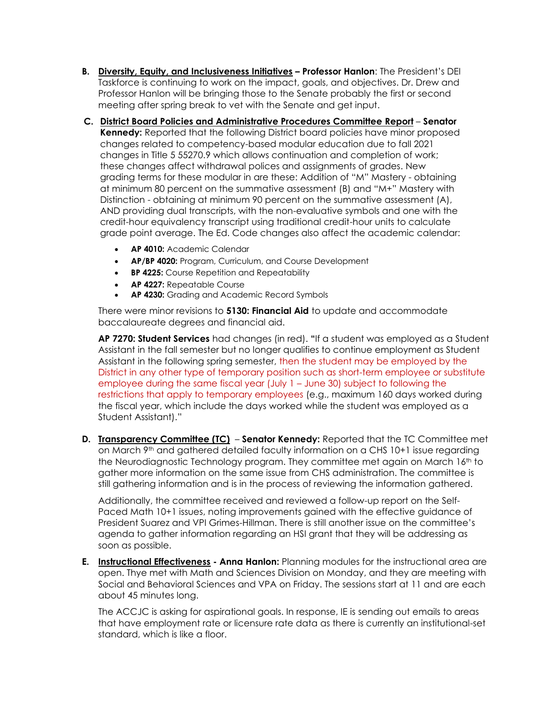- **B. Diversity, Equity, and Inclusiveness Initiatives – Professor Hanlon**: The President's DEI Taskforce is continuing to work on the impact, goals, and objectives. Dr. Drew and Professor Hanlon will be bringing those to the Senate probably the first or second meeting after spring break to vet with the Senate and get input.
- **C. District Board Policies and Administrative Procedures Committee Report Senator Kennedy:** Reported that the following District board policies have minor proposed changes related to competency-based modular education due to fall 2021 changes in Title 5 55270.9 which allows continuation and completion of work; these changes affect withdrawal polices and assignments of grades. New grading terms for these modular in are these: Addition of "M" Mastery - obtaining at minimum 80 percent on the summative assessment (B) and "M+" Mastery with Distinction - obtaining at minimum 90 percent on the summative assessment (A), AND providing dual transcripts, with the non-evaluative symbols and one with the credit-hour equivalency transcript using traditional credit-hour units to calculate grade point average. The Ed. Code changes also affect the academic calendar:
	- **AP 4010:** Academic Calendar
	- **AP/BP 4020:** Program, Curriculum, and Course Development
	- **BP 4225:** Course Repetition and Repeatability
	- **AP 4227:** Repeatable Course
	- **AP 4230:** Grading and Academic Record Symbols

There were minor revisions to **5130: Financial Aid** to update and accommodate baccalaureate degrees and financial aid.

**AP 7270: Student Services** had changes (in red). **"**If a student was employed as a Student Assistant in the fall semester but no longer qualifies to continue employment as Student Assistant in the following spring semester, then the student may be employed by the District in any other type of temporary position such as short-term employee or substitute employee during the same fiscal year (July 1 – June 30) subject to following the restrictions that apply to temporary employees (e.g., maximum 160 days worked during the fiscal year, which include the days worked while the student was employed as a Student Assistant)."

**D. Transparency Committee (TC)** – **Senator Kennedy:** Reported that the TC Committee met on March 9th and gathered detailed faculty information on a CHS 10+1 issue regarding the Neurodiagnostic Technology program. They committee met again on March 16<sup>th</sup> to gather more information on the same issue from CHS administration. The committee is still gathering information and is in the process of reviewing the information gathered.

Additionally, the committee received and reviewed a follow-up report on the Self-Paced Math 10+1 issues, noting improvements gained with the effective guidance of President Suarez and VPI Grimes-Hillman. There is still another issue on the committee's agenda to gather information regarding an HSI grant that they will be addressing as soon as possible.

**E. Instructional Effectiveness - Anna Hanlon:** Planning modules for the instructional area are open. Thye met with Math and Sciences Division on Monday, and they are meeting with Social and Behavioral Sciences and VPA on Friday. The sessions start at 11 and are each about 45 minutes long.

The ACCJC is asking for aspirational goals. In response, IE is sending out emails to areas that have employment rate or licensure rate data as there is currently an institutional-set standard, which is like a floor.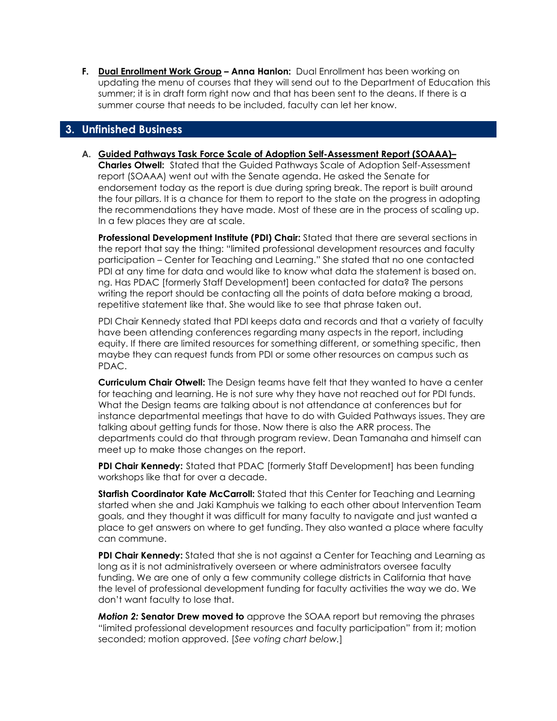**F. Dual Enrollment Work Group – Anna Hanlon:** Dual Enrollment has been working on updating the menu of courses that they will send out to the Department of Education this summer; it is in draft form right now and that has been sent to the deans. If there is a summer course that needs to be included, faculty can let her know.

# **3. Unfinished Business**

**A. Guided Pathways Task Force Scale of Adoption Self-Assessment Report (SOAAA)–**

**Charles Otwell:** Stated that the Guided Pathways Scale of Adoption Self-Assessment report (SOAAA) went out with the Senate agenda. He asked the Senate for endorsement today as the report is due during spring break. The report is built around the four pillars. It is a chance for them to report to the state on the progress in adopting the recommendations they have made. Most of these are in the process of scaling up. In a few places they are at scale.

**Professional Development Institute (PDI) Chair:** Stated that there are several sections in the report that say the thing: "limited professional development resources and faculty participation – Center for Teaching and Learning." She stated that no one contacted PDI at any time for data and would like to know what data the statement is based on. ng. Has PDAC [formerly Staff Development] been contacted for data? The persons writing the report should be contacting all the points of data before making a broad, repetitive statement like that. She would like to see that phrase taken out.

PDI Chair Kennedy stated that PDI keeps data and records and that a variety of faculty have been attending conferences regarding many aspects in the report, including equity. If there are limited resources for something different, or something specific, then maybe they can request funds from PDI or some other resources on campus such as PDAC.

**Curriculum Chair Otwell:** The Design teams have felt that they wanted to have a center for teaching and learning. He is not sure why they have not reached out for PDI funds. What the Design teams are talking about is not attendance at conferences but for instance departmental meetings that have to do with Guided Pathways issues. They are talking about getting funds for those. Now there is also the ARR process. The departments could do that through program review. Dean Tamanaha and himself can meet up to make those changes on the report.

**PDI Chair Kennedy:** Stated that PDAC [formerly Staff Development] has been funding workshops like that for over a decade.

**Starfish Coordinator Kate McCarroll:** Stated that this Center for Teaching and Learning started when she and Jaki Kamphuis we talking to each other about Intervention Team goals, and they thought it was difficult for many faculty to navigate and just wanted a place to get answers on where to get funding. They also wanted a place where faculty can commune.

**PDI Chair Kennedy:** Stated that she is not against a Center for Teaching and Learning as long as it is not administratively overseen or where administrators oversee faculty funding. We are one of only a few community college districts in California that have the level of professional development funding for faculty activities the way we do. We don't want faculty to lose that.

*Motion 2:* **Senator Drew moved to** approve the SOAA report but removing the phrases "limited professional development resources and faculty participation" from it; motion seconded; motion approved. [*See voting chart below.*]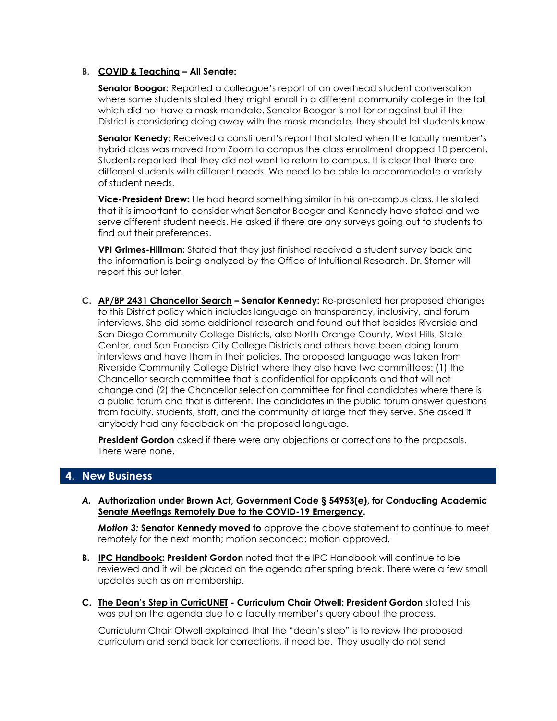#### **B. COVID & Teaching – All Senate:**

**Senator Boogar:** Reported a colleague's report of an overhead student conversation where some students stated they might enroll in a different community college in the fall which did not have a mask mandate. Senator Boogar is not for or against but if the District is considering doing away with the mask mandate, they should let students know.

**Senator Kenedy:** Received a constituent's report that stated when the faculty member's hybrid class was moved from Zoom to campus the class enrollment dropped 10 percent. Students reported that they did not want to return to campus. It is clear that there are different students with different needs. We need to be able to accommodate a variety of student needs.

**Vice-President Drew:** He had heard something similar in his on-campus class. He stated that it is important to consider what Senator Boogar and Kennedy have stated and we serve different student needs. He asked if there are any surveys going out to students to find out their preferences.

**VPI Grimes-Hillman:** Stated that they just finished received a student survey back and the information is being analyzed by the Office of Intuitional Research. Dr. Sterner will report this out later.

**C. AP/BP 2431 Chancellor Search – Senator Kennedy:** Re-presented her proposed changes to this District policy which includes language on transparency, inclusivity, and forum interviews. She did some additional research and found out that besides Riverside and San Diego Community College Districts, also North Orange County, West Hills, State Center, and San Franciso City College Districts and others have been doing forum interviews and have them in their policies. The proposed language was taken from Riverside Community College District where they also have two committees: (1) the Chancellor search committee that is confidential for applicants and that will not change and (2) the Chancellor selection committee for final candidates where there is a public forum and that is different. The candidates in the public forum answer questions from faculty, students, staff, and the community at large that they serve. She asked if anybody had any feedback on the proposed language.

**President Gordon** asked if there were any objections or corrections to the proposals. There were none,

# **4. New Business**

*A.* **Authorization under Brown Act, Government Code § 54953(e), for Conducting Academic Senate Meetings Remotely Due to the COVID-19 Emergency.**

*Motion 3:* **Senator Kennedy moved to** approve the above statement to continue to meet remotely for the next month; motion seconded; motion approved.

- **B. IPC Handbook: President Gordon** noted that the IPC Handbook will continue to be reviewed and it will be placed on the agenda after spring break. There were a few small updates such as on membership.
- **C. The Dean's Step in CurricUNET - Curriculum Chair Otwell: President Gordon** stated this was put on the agenda due to a faculty member's query about the process.

Curriculum Chair Otwell explained that the "dean's step" is to review the proposed curriculum and send back for corrections, if need be. They usually do not send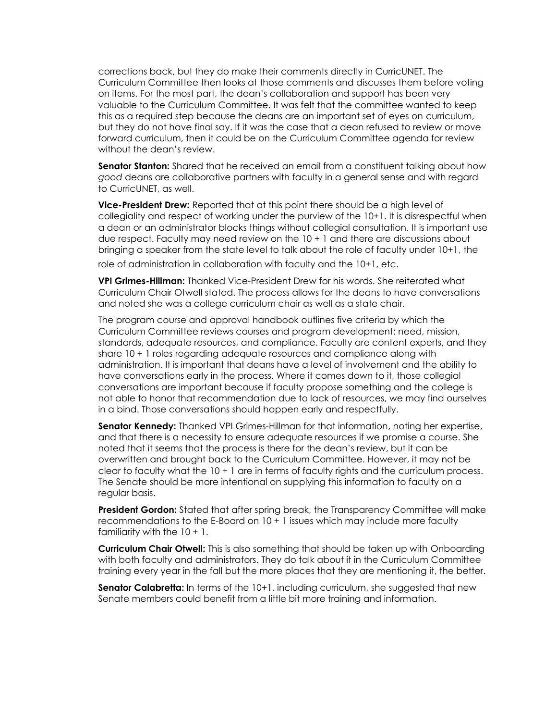corrections back, but they do make their comments directly in CurricUNET. The Curriculum Committee then looks at those comments and discusses them before voting on items. For the most part, the dean's collaboration and support has been very valuable to the Curriculum Committee. It was felt that the committee wanted to keep this as a required step because the deans are an important set of eyes on curriculum, but they do not have final say. If it was the case that a dean refused to review or move forward curriculum, then it could be on the Curriculum Committee agenda for review without the dean's review.

**Senator Stanton:** Shared that he received an email from a constituent talking about how *good* deans are collaborative partners with faculty in a general sense and with regard to CurricUNET, as well.

**Vice-President Drew:** Reported that at this point there should be a high level of collegiality and respect of working under the purview of the 10+1. It is disrespectful when a dean or an administrator blocks things without collegial consultation. It is important use due respect. Faculty may need review on the 10 + 1 and there are discussions about bringing a speaker from the state level to talk about the role of faculty under 10+1, the role of administration in collaboration with faculty and the 10+1, etc.

**VPI Grimes-Hillman:** Thanked Vice-President Drew for his words. She reiterated what Curriculum Chair Otwell stated. The process allows for the deans to have conversations and noted she was a college curriculum chair as well as a state chair.

The program course and approval handbook outlines five criteria by which the Curriculum Committee reviews courses and program development: need, mission, standards, adequate resources, and compliance. Faculty are content experts, and they share 10 + 1 roles regarding adequate resources and compliance along with administration. It is important that deans have a level of involvement and the ability to have conversations early in the process. Where it comes down to it, those collegial conversations are important because if faculty propose something and the college is not able to honor that recommendation due to lack of resources, we may find ourselves in a bind. Those conversations should happen early and respectfully.

**Senator Kennedy:** Thanked VPI Grimes-Hillman for that information, noting her expertise, and that there is a necessity to ensure adequate resources if we promise a course. She noted that it seems that the process is there for the dean's review, but it can be overwritten and brought back to the Curriculum Committee. However, it may not be clear to faculty what the 10 + 1 are in terms of faculty rights and the curriculum process. The Senate should be more intentional on supplying this information to faculty on a regular basis.

**President Gordon:** Stated that after spring break, the Transparency Committee will make recommendations to the E-Board on 10 + 1 issues which may include more faculty familiarity with the  $10 + 1$ .

**Curriculum Chair Otwell:** This is also something that should be taken up with Onboarding with both faculty and administrators. They do talk about it in the Curriculum Committee training every year in the fall but the more places that they are mentioning it, the better.

**Senator Calabretta:** In terms of the 10+1, including curriculum, she suggested that new Senate members could benefit from a little bit more training and information.